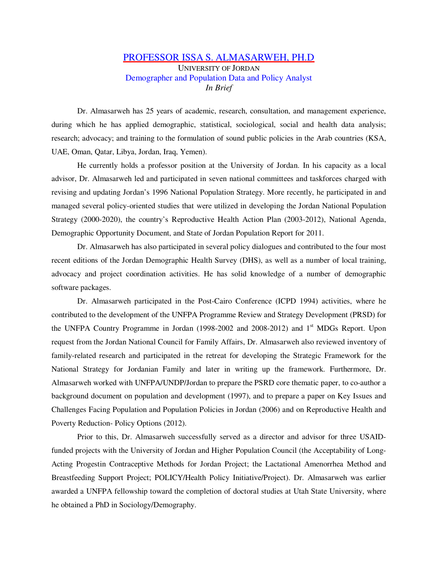## PROFESSOR ISSA S. ALMASARWEH, PH.D UNIVERSITY OF JORDAN Demographer and Population Data and Policy Analyst *In Brief*

Dr. Almasarweh has 25 years of academic, research, consultation, and management experience, during which he has applied demographic, statistical, sociological, social and health data analysis; research; advocacy; and training to the formulation of sound public policies in the Arab countries (KSA, UAE, Oman, Qatar, Libya, Jordan, Iraq, Yemen).

He currently holds a professor position at the University of Jordan. In his capacity as a local advisor, Dr. Almasarweh led and participated in seven national committees and taskforces charged with revising and updating Jordan's 1996 National Population Strategy. More recently, he participated in and managed several policy-oriented studies that were utilized in developing the Jordan National Population Strategy (2000-2020), the country's Reproductive Health Action Plan (2003-2012), National Agenda, Demographic Opportunity Document, and State of Jordan Population Report for 2011.

Dr. Almasarweh has also participated in several policy dialogues and contributed to the four most recent editions of the Jordan Demographic Health Survey (DHS), as well as a number of local training, advocacy and project coordination activities. He has solid knowledge of a number of demographic software packages.

Dr. Almasarweh participated in the Post-Cairo Conference (ICPD 1994) activities, where he contributed to the development of the UNFPA Programme Review and Strategy Development (PRSD) for the UNFPA Country Programme in Jordan (1998-2002 and 2008-2012) and 1<sup>st</sup> MDGs Report. Upon request from the Jordan National Council for Family Affairs, Dr. Almasarweh also reviewed inventory of family-related research and participated in the retreat for developing the Strategic Framework for the National Strategy for Jordanian Family and later in writing up the framework. Furthermore, Dr. Almasarweh worked with UNFPA/UNDP/Jordan to prepare the PSRD core thematic paper, to co-author a background document on population and development (1997), and to prepare a paper on Key Issues and Challenges Facing Population and Population Policies in Jordan (2006) and on Reproductive Health and Poverty Reduction- Policy Options (2012).

Prior to this, Dr. Almasarweh successfully served as a director and advisor for three USAIDfunded projects with the University of Jordan and Higher Population Council (the Acceptability of Long-Acting Progestin Contraceptive Methods for Jordan Project; the Lactational Amenorrhea Method and Breastfeeding Support Project; POLICY/Health Policy Initiative/Project). Dr. Almasarweh was earlier awarded a UNFPA fellowship toward the completion of doctoral studies at Utah State University, where he obtained a PhD in Sociology/Demography.